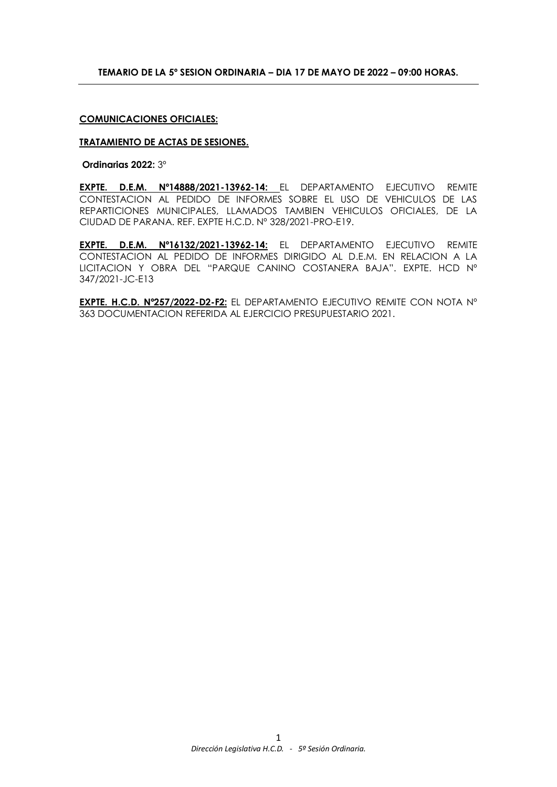## **COMUNICACIONES OFICIALES:**

#### **TRATAMIENTO DE ACTAS DE SESIONES.**

**Ordinarias 2022:** 3º

**EXPTE. D.E.M. Nº14888/2021-13962-14:** EL DEPARTAMENTO EJECUTIVO REMITE CONTESTACION AL PEDIDO DE INFORMES SOBRE EL USO DE VEHICULOS DE LAS REPARTICIONES MUNICIPALES, LLAMADOS TAMBIEN VEHICULOS OFICIALES, DE LA CIUDAD DE PARANA. REF. EXPTE H.C.D. Nº 328/2021-PRO-E19.

**EXPTE. D.E.M. Nº16132/2021-13962-14:** EL DEPARTAMENTO EJECUTIVO REMITE CONTESTACION AL PEDIDO DE INFORMES DIRIGIDO AL D.E.M. EN RELACION A LA LICITACION Y OBRA DEL "PARQUE CANINO COSTANERA BAJA". EXPTE. HCD Nº 347/2021-JC-E13

**EXPTE. H.C.D. Nº257/2022-D2-F2:** EL DEPARTAMENTO EJECUTIVO REMITE CON NOTA Nº 363 DOCUMENTACION REFERIDA AL EJERCICIO PRESUPUESTARIO 2021.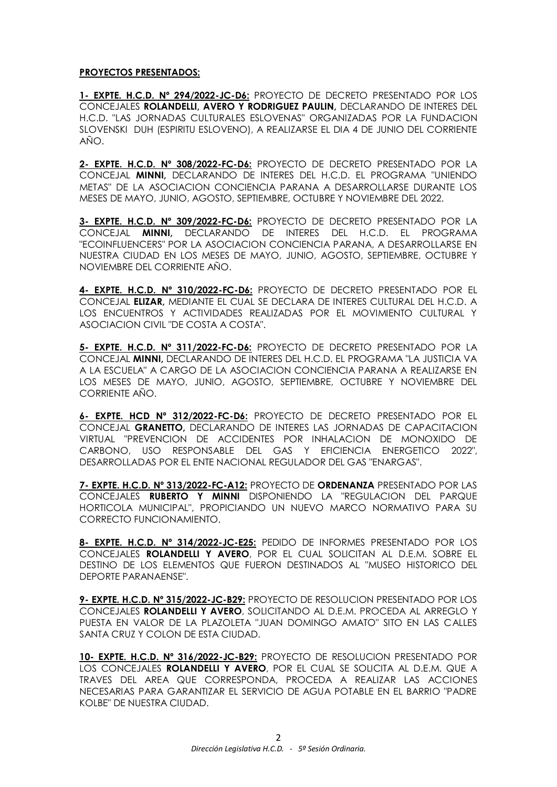# **PROYECTOS PRESENTADOS:**

**1- EXPTE. H.C.D. Nº 294/2022-JC-D6:** PROYECTO DE DECRETO PRESENTADO POR LOS CONCEJALES **ROLANDELLI, AVERO Y RODRIGUEZ PAULIN,** DECLARANDO DE INTERES DEL H.C.D. "LAS JORNADAS CULTURALES ESLOVENAS" ORGANIZADAS POR LA FUNDACION SLOVENSKI DUH (ESPIRITU ESLOVENO), A REALIZARSE EL DIA 4 DE JUNIO DEL CORRIENTE AÑO.

**2- EXPTE. H.C.D. Nº 308/2022-FC-D6:** PROYECTO DE DECRETO PRESENTADO POR LA CONCEJAL **MINNI,** DECLARANDO DE INTERES DEL H.C.D. EL PROGRAMA "UNIENDO METAS" DE LA ASOCIACION CONCIENCIA PARANA A DESARROLLARSE DURANTE LOS MESES DE MAYO, JUNIO, AGOSTO, SEPTIEMBRE, OCTUBRE Y NOVIEMBRE DEL 2022.

**3- EXPTE. H.C.D. Nº 309/2022-FC-D6:** PROYECTO DE DECRETO PRESENTADO POR LA CONCEJAL **MINNI,** DECLARANDO DE INTERES DEL H.C.D. EL PROGRAMA "ECOINFLUENCERS" POR LA ASOCIACION CONCIENCIA PARANA, A DESARROLLARSE EN NUESTRA CIUDAD EN LOS MESES DE MAYO, JUNIO, AGOSTO, SEPTIEMBRE, OCTUBRE Y NOVIEMBRE DEL CORRIENTE AÑO.

**4- EXPTE. H.C.D. Nº 310/2022-FC-D6:** PROYECTO DE DECRETO PRESENTADO POR EL CONCEJAL **ELIZAR,** MEDIANTE EL CUAL SE DECLARA DE INTERES CULTURAL DEL H.C.D. A LOS ENCUENTROS Y ACTIVIDADES REALIZADAS POR EL MOVIMIENTO CULTURAL Y ASOCIACION CIVIL "DE COSTA A COSTA".

**5- EXPTE. H.C.D. Nº 311/2022-FC-D6:** PROYECTO DE DECRETO PRESENTADO POR LA CONCEJAL **MINNI,** DECLARANDO DE INTERES DEL H.C.D. EL PROGRAMA "LA JUSTICIA VA A LA ESCUELA" A CARGO DE LA ASOCIACION CONCIENCIA PARANA A REALIZARSE EN LOS MESES DE MAYO, JUNIO, AGOSTO, SEPTIEMBRE, OCTUBRE Y NOVIEMBRE DEL CORRIENTE AÑO.

**6- EXPTE. HCD Nº 312/2022-FC-D6:** PROYECTO DE DECRETO PRESENTADO POR EL CONCEJAL **GRANETTO,** DECLARANDO DE INTERES LAS JORNADAS DE CAPACITACION VIRTUAL "PREVENCION DE ACCIDENTES POR INHALACION DE MONOXIDO DE CARBONO, USO RESPONSABLE DEL GAS Y EFICIENCIA ENERGETICO 2022", DESARROLLADAS POR EL ENTE NACIONAL REGULADOR DEL GAS "ENARGAS".

**7- EXPTE. H.C.D. Nº 313/2022-FC-A12:** PROYECTO DE **ORDENANZA** PRESENTADO POR LAS CONCEJALES **RUBERTO Y MINNI** DISPONIENDO LA "REGULACION DEL PARQUE HORTICOLA MUNICIPAL", PROPICIANDO UN NUEVO MARCO NORMATIVO PARA SU CORRECTO FUNCIONAMIENTO.

**8- EXPTE. H.C.D. Nº 314/2022-JC-E25:** PEDIDO DE INFORMES PRESENTADO POR LOS CONCEJALES **ROLANDELLI Y AVERO**, POR EL CUAL SOLICITAN AL D.E.M. SOBRE EL DESTINO DE LOS ELEMENTOS QUE FUERON DESTINADOS AL "MUSEO HISTORICO DEL DEPORTE PARANAENSE".

**9- EXPTE. H.C.D. Nº 315/2022-JC-B29:** PROYECTO DE RESOLUCION PRESENTADO POR LOS CONCEJALES **ROLANDELLI Y AVERO**, SOLICITANDO AL D.E.M. PROCEDA AL ARREGLO Y PUESTA EN VALOR DE LA PLAZOLETA "JUAN DOMINGO AMATO" SITO EN LAS CALLES SANTA CRUZ Y COLON DE ESTA CIUDAD.

**10- EXPTE. H.C.D. Nº 316/2022-JC-B29:** PROYECTO DE RESOLUCION PRESENTADO POR LOS CONCEJALES **ROLANDELLI Y AVERO**, POR EL CUAL SE SOLICITA AL D.E.M. QUE A TRAVES DEL AREA QUE CORRESPONDA, PROCEDA A REALIZAR LAS ACCIONES NECESARIAS PARA GARANTIZAR EL SERVICIO DE AGUA POTABLE EN EL BARRIO "PADRE KOLBE" DE NUESTRA CIUDAD.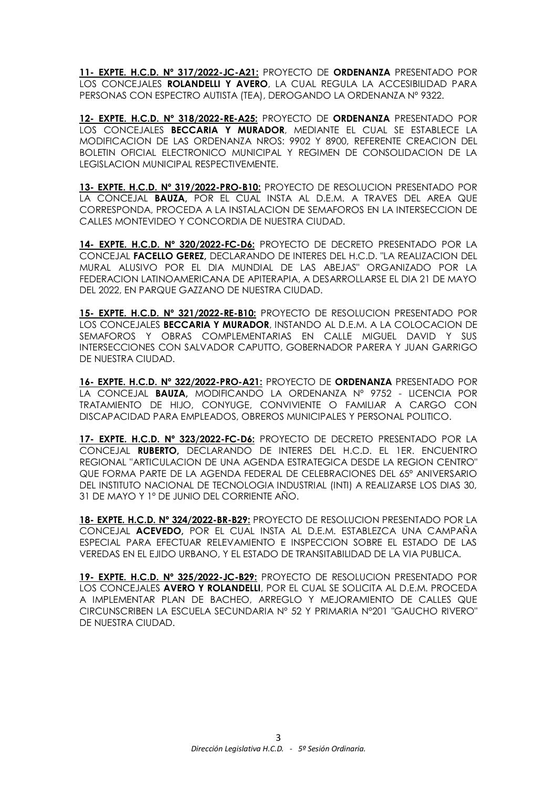**11- EXPTE. H.C.D. Nº 317/2022-JC-A21:** PROYECTO DE **ORDENANZA** PRESENTADO POR LOS CONCEJALES **ROLANDELLI Y AVERO**, LA CUAL REGULA LA ACCESIBILIDAD PARA PERSONAS CON ESPECTRO AUTISTA (TEA), DEROGANDO LA ORDENANZA Nº 9322.

**12- EXPTE. H.C.D. Nº 318/2022-RE-A25:** PROYECTO DE **ORDENANZA** PRESENTADO POR LOS CONCEJALES **BECCARIA Y MURADOR**, MEDIANTE EL CUAL SE ESTABLECE LA MODIFICACION DE LAS ORDENANZA NROS: 9902 Y 8900, REFERENTE CREACION DEL BOLETIN OFICIAL ELECTRONICO MUNICIPAL Y REGIMEN DE CONSOLIDACION DE LA LEGISLACION MUNICIPAL RESPECTIVEMENTE.

**13- EXPTE. H.C.D. Nº 319/2022-PRO-B10:** PROYECTO DE RESOLUCION PRESENTADO POR LA CONCEJAL **BAUZA,** POR EL CUAL INSTA AL D.E.M. A TRAVES DEL AREA QUE CORRESPONDA, PROCEDA A LA INSTALACION DE SEMAFOROS EN LA INTERSECCION DE CALLES MONTEVIDEO Y CONCORDIA DE NUESTRA CIUDAD.

**14- EXPTE. H.C.D. Nº 320/2022-FC-D6:** PROYECTO DE DECRETO PRESENTADO POR LA CONCEJAL **FACELLO GEREZ,** DECLARANDO DE INTERES DEL H.C.D. "LA REALIZACION DEL MURAL ALUSIVO POR EL DIA MUNDIAL DE LAS ABEJAS" ORGANIZADO POR LA FEDERACION LATINOAMERICANA DE APITERAPIA, A DESARROLLARSE EL DIA 21 DE MAYO DEL 2022, EN PARQUE GAZZANO DE NUESTRA CIUDAD.

**15- EXPTE. H.C.D. Nº 321/2022-RE-B10:** PROYECTO DE RESOLUCION PRESENTADO POR LOS CONCEJALES **BECCARIA Y MURADOR**, INSTANDO AL D.E.M. A LA COLOCACION DE SEMAFOROS Y OBRAS COMPLEMENTARIAS EN CALLE MIGUEL DAVID Y SUS INTERSECCIONES CON SALVADOR CAPUTTO, GOBERNADOR PARERA Y JUAN GARRIGO DE NUESTRA CIUDAD.

**16- EXPTE. H.C.D. Nº 322/2022-PRO-A21:** PROYECTO DE **ORDENANZA** PRESENTADO POR LA CONCEJAL **BAUZA,** MODIFICANDO LA ORDENANZA Nº 9752 - LICENCIA POR TRATAMIENTO DE HIJO, CONYUGE, CONVIVIENTE O FAMILIAR A CARGO CON DISCAPACIDAD PARA EMPLEADOS, OBREROS MUNICIPALES Y PERSONAL POLITICO.

**17- EXPTE. H.C.D. Nº 323/2022-FC-D6:** PROYECTO DE DECRETO PRESENTADO POR LA CONCEJAL **RUBERTO,** DECLARANDO DE INTERES DEL H.C.D. EL 1ER. ENCUENTRO REGIONAL "ARTICULACION DE UNA AGENDA ESTRATEGICA DESDE LA REGION CENTRO" QUE FORMA PARTE DE LA AGENDA FEDERAL DE CELEBRACIONES DEL 65º ANIVERSARIO DEL INSTITUTO NACIONAL DE TECNOLOGIA INDUSTRIAL (INTI) A REALIZARSE LOS DIAS 30, 31 DE MAYO Y 1º DE JUNIO DEL CORRIENTE AÑO.

**18- EXPTE. H.C.D. Nº 324/2022-BR-B29:** PROYECTO DE RESOLUCION PRESENTADO POR LA CONCEJAL **ACEVEDO,** POR EL CUAL INSTA AL D.E.M. ESTABLEZCA UNA CAMPAÑA ESPECIAL PARA EFECTUAR RELEVAMIENTO E INSPECCION SOBRE EL ESTADO DE LAS VEREDAS EN EL EJIDO URBANO, Y EL ESTADO DE TRANSITABILIDAD DE LA VIA PUBLICA.

**19- EXPTE. H.C.D. Nº 325/2022-JC-B29:** PROYECTO DE RESOLUCION PRESENTADO POR LOS CONCEJALES **AVERO Y ROLANDELLI**, POR EL CUAL SE SOLICITA AL D.E.M. PROCEDA A IMPLEMENTAR PLAN DE BACHEO, ARREGLO Y MEJORAMIENTO DE CALLES QUE CIRCUNSCRIBEN LA ESCUELA SECUNDARIA Nº 52 Y PRIMARIA Nº201 "GAUCHO RIVERO" DE NUESTRA CIUDAD.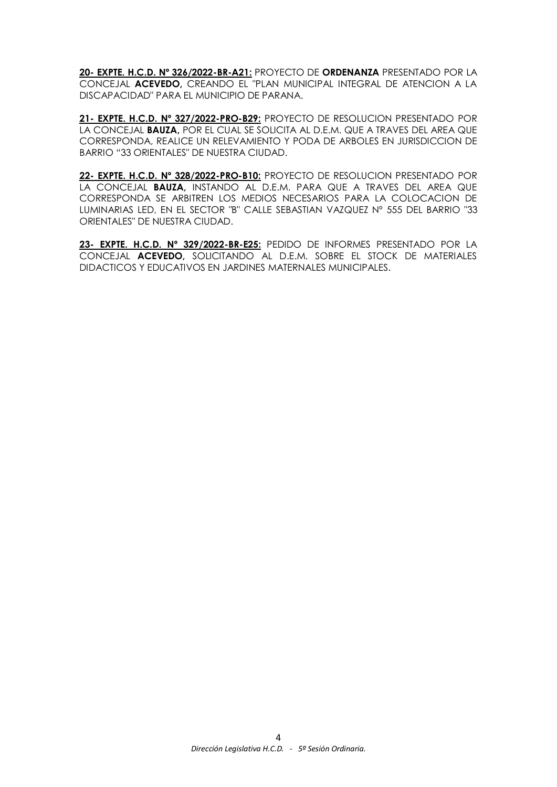**20- EXPTE. H.C.D. Nº 326/2022-BR-A21:** PROYECTO DE **ORDENANZA** PRESENTADO POR LA CONCEJAL **ACEVEDO,** CREANDO EL "PLAN MUNICIPAL INTEGRAL DE ATENCION A LA DISCAPACIDAD" PARA EL MUNICIPIO DE PARANA.

**21- EXPTE. H.C.D. Nº 327/2022-PRO-B29:** PROYECTO DE RESOLUCION PRESENTADO POR LA CONCEJAL **BAUZA,** POR EL CUAL SE SOLICITA AL D.E.M. QUE A TRAVES DEL AREA QUE CORRESPONDA, REALICE UN RELEVAMIENTO Y PODA DE ARBOLES EN JURISDICCION DE BARRIO "33 ORIENTALES" DE NUESTRA CIUDAD.

**22- EXPTE. H.C.D. Nº 328/2022-PRO-B10:** PROYECTO DE RESOLUCION PRESENTADO POR LA CONCEJAL **BAUZA,** INSTANDO AL D.E.M. PARA QUE A TRAVES DEL AREA QUE CORRESPONDA SE ARBITREN LOS MEDIOS NECESARIOS PARA LA COLOCACION DE LUMINARIAS LED, EN EL SECTOR "B" CALLE SEBASTIAN VAZQUEZ Nº 555 DEL BARRIO "33 ORIENTALES" DE NUESTRA CIUDAD.

**23- EXPTE. H.C.D. Nº 329/2022-BR-E25:** PEDIDO DE INFORMES PRESENTADO POR LA CONCEJAL **ACEVEDO,** SOLICITANDO AL D.E.M. SOBRE EL STOCK DE MATERIALES DIDACTICOS Y EDUCATIVOS EN JARDINES MATERNALES MUNICIPALES.